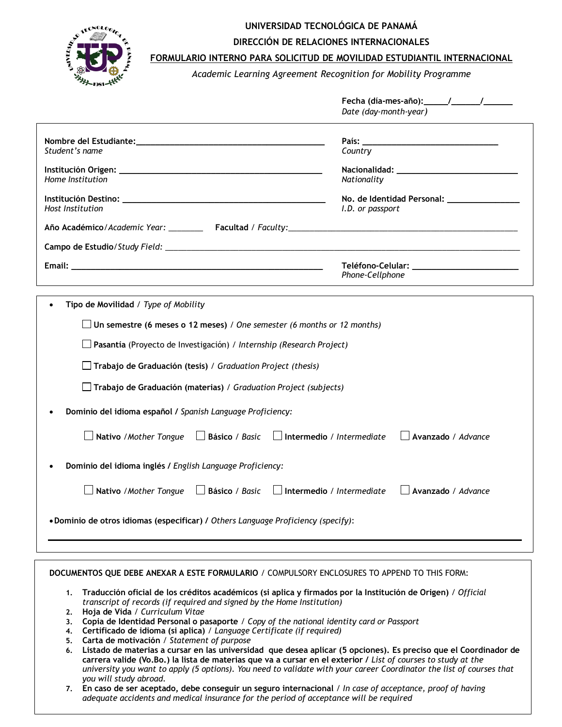

# **UNIVERSIDAD TECNOLÓGICA DE PANAMÁ**

**DIRECCIÓN DE RELACIONES INTERNACIONALES**

## **FORMULARIO INTERNO PARA SOLICITUD DE MOVILIDAD ESTUDIANTIL INTERNACIONAL**

*Academic Learning Agreement Recognition for Mobility Programme*

|                                                                                                                                                                                                                                                                                                                                                                                                                                                                                                                                                                                                                                                                                                                                                                                    | Date (day-month-year)                                               |  |  |
|------------------------------------------------------------------------------------------------------------------------------------------------------------------------------------------------------------------------------------------------------------------------------------------------------------------------------------------------------------------------------------------------------------------------------------------------------------------------------------------------------------------------------------------------------------------------------------------------------------------------------------------------------------------------------------------------------------------------------------------------------------------------------------|---------------------------------------------------------------------|--|--|
| Student's name                                                                                                                                                                                                                                                                                                                                                                                                                                                                                                                                                                                                                                                                                                                                                                     | Country                                                             |  |  |
| Home Institution                                                                                                                                                                                                                                                                                                                                                                                                                                                                                                                                                                                                                                                                                                                                                                   | Nationality                                                         |  |  |
| Host Institution                                                                                                                                                                                                                                                                                                                                                                                                                                                                                                                                                                                                                                                                                                                                                                   | I.D. or passport                                                    |  |  |
|                                                                                                                                                                                                                                                                                                                                                                                                                                                                                                                                                                                                                                                                                                                                                                                    |                                                                     |  |  |
|                                                                                                                                                                                                                                                                                                                                                                                                                                                                                                                                                                                                                                                                                                                                                                                    |                                                                     |  |  |
|                                                                                                                                                                                                                                                                                                                                                                                                                                                                                                                                                                                                                                                                                                                                                                                    | Teléfono-Celular: ______________________________<br>Phone-Cellphone |  |  |
| Tipo de Movilidad / Type of Mobility<br>$\Box$ Un semestre (6 meses o 12 meses) / One semester (6 months or 12 months)<br>$\Box$ Pasantía (Proyecto de Investigación) / Internship (Research Project)<br>$\Box$ Trabajo de Graduación (tesis) / Graduation Project (thesis)<br>$\Box$ Trabajo de Graduación (materias) / Graduation Project (subjects)<br>Dominio del idioma español / Spanish Language Proficiency:<br>Intermedio / Intermediate<br>Avanzado / Advance<br>Nativo / Mother Tongue<br>$\Box$ Básico / Basic<br>Dominio del idioma inglés / English Language Proficiency:<br>Nativo / Mother Tongue<br>Básico / Basic<br>$\Box$ Intermedio / Intermediate<br>Avanzado / Advance<br>• Dominio de otros idiomas (especificar) / Others Language Proficiency (specify): |                                                                     |  |  |
| DOCUMENTOS QUE DEBE ANEXAR A ESTE FORMULARIO / COMPULSORY ENCLOSURES TO APPEND TO THIS FORM:<br>Traducción oficial de los créditos académicos (si aplica y firmados por la Institución de Origen) / Official<br>1.                                                                                                                                                                                                                                                                                                                                                                                                                                                                                                                                                                 |                                                                     |  |  |

- *transcript of records (if required and signed by the Home Institution)* **2. Hoja de Vida** */ Curriculum Vitae*
- **3. Copia de Identidad Personal o pasaporte** */ Copy of the national identity card or Passport*
- **4. Certificado de idioma (si aplica)** / *Language Certificate (if required)*
- **5. Carta de motivación** */ Statement of purpose*
- **6. Listado de materias a cursar en las universidad que desea aplicar (5 opciones). Es preciso que el Coordinador de carrera valide (Vo.Bo.) la lista de materias que va a cursar en el exterior /** *List of courses to study at the university you want to apply (5 options). You need to validate with your career Coordinator the list of courses that you will study abroad.*
- **7. En caso de ser aceptado, debe conseguir un seguro internacional** */ In case of acceptance, proof of having adequate accidents and medical insurance for the period of acceptance will be required*